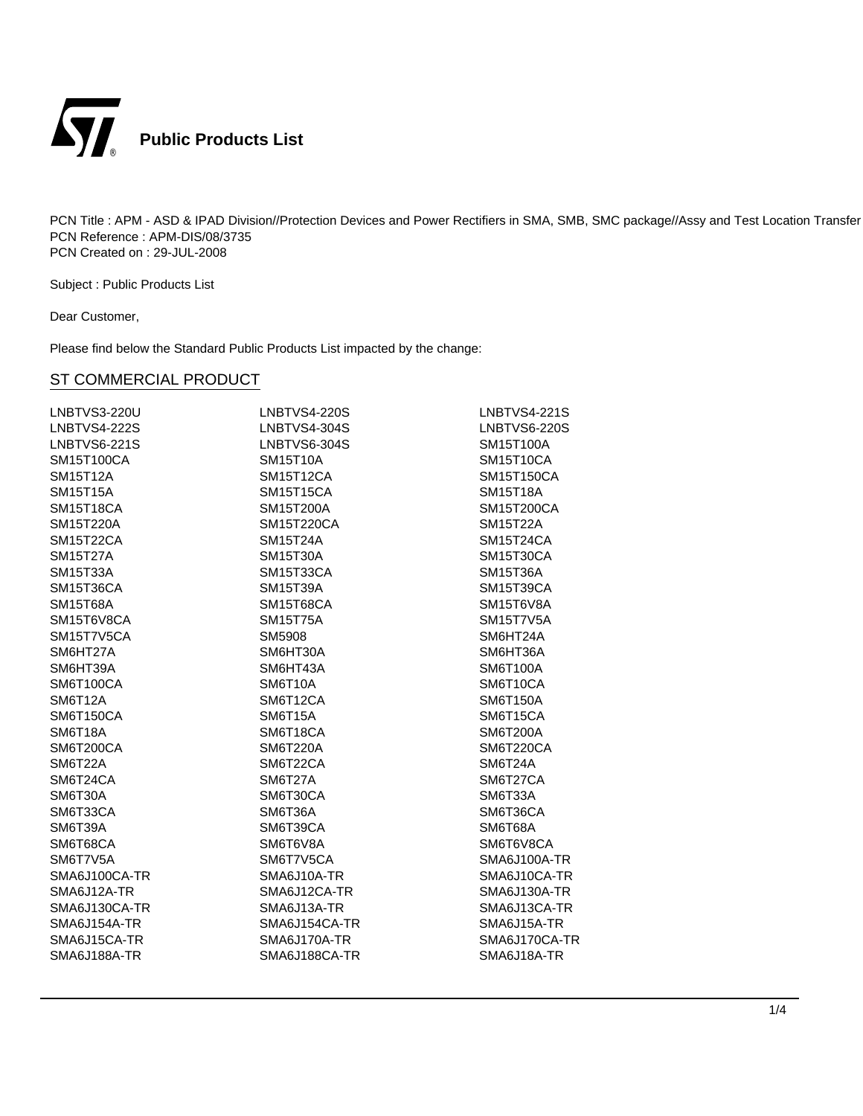

Subject : Public Products List

Dear Customer,

Please find below the Standard Public Products List impacted by the change:

| LNBTVS3-220U        | <b>LNBTVS4-220S</b> | <b>LNBTVS4-221S</b> |
|---------------------|---------------------|---------------------|
| <b>LNBTVS4-222S</b> | LNBTVS4-304S        | LNBTVS6-220S        |
| <b>LNBTVS6-221S</b> | LNBTVS6-304S        | SM15T100A           |
| SM15T100CA          | <b>SM15T10A</b>     | <b>SM15T10CA</b>    |
| <b>SM15T12A</b>     | <b>SM15T12CA</b>    | <b>SM15T150CA</b>   |
| <b>SM15T15A</b>     | <b>SM15T15CA</b>    | <b>SM15T18A</b>     |
| SM15T18CA           | SM15T200A           | SM15T200CA          |
| SM15T220A           | SM15T220CA          | <b>SM15T22A</b>     |
| <b>SM15T22CA</b>    | <b>SM15T24A</b>     | <b>SM15T24CA</b>    |
| <b>SM15T27A</b>     | <b>SM15T30A</b>     | <b>SM15T30CA</b>    |
| <b>SM15T33A</b>     | SM15T33CA           | <b>SM15T36A</b>     |
| SM15T36CA           | <b>SM15T39A</b>     | <b>SM15T39CA</b>    |
| <b>SM15T68A</b>     | SM15T68CA           | SM15T6V8A           |
| SM15T6V8CA          | <b>SM15T75A</b>     | <b>SM15T7V5A</b>    |
| SM15T7V5CA          | SM5908              | SM6HT24A            |
| SM6HT27A            | SM6HT30A            | SM6HT36A            |
| SM6HT39A            | SM6HT43A            | SM6T100A            |
| SM6T100CA           | SM6T10A             | SM6T10CA            |
| <b>SM6T12A</b>      | SM6T12CA            | <b>SM6T150A</b>     |
| SM6T150CA           | <b>SM6T15A</b>      | SM6T15CA            |
| SM6T18A             | SM6T18CA            | <b>SM6T200A</b>     |
| SM6T200CA           | <b>SM6T220A</b>     | SM6T220CA           |
| SM6T22A             | SM6T22CA            | SM6T24A             |
| SM6T24CA            | SM6T27A             | SM6T27CA            |
| SM6T30A             | SM6T30CA            | SM6T33A             |
| SM6T33CA            | SM6T36A             | SM6T36CA            |
| SM6T39A             | SM6T39CA            | SM6T68A             |
| SM6T68CA            | SM6T6V8A            | SM6T6V8CA           |
| SM6T7V5A            | SM6T7V5CA           | SMA6J100A-TR        |
| SMA6J100CA-TR       | SMA6J10A-TR         | SMA6J10CA-TR        |
| SMA6J12A-TR         | SMA6J12CA-TR        | SMA6J130A-TR        |
| SMA6J130CA-TR       | SMA6J13A-TR         | SMA6J13CA-TR        |
| SMA6J154A-TR        | SMA6J154CA-TR       | SMA6J15A-TR         |
| SMA6J15CA-TR        | SMA6J170A-TR        | SMA6J170CA-TR       |
| SMA6J188A-TR        | SMA6J188CA-TR       | SMA6J18A-TR         |
|                     |                     |                     |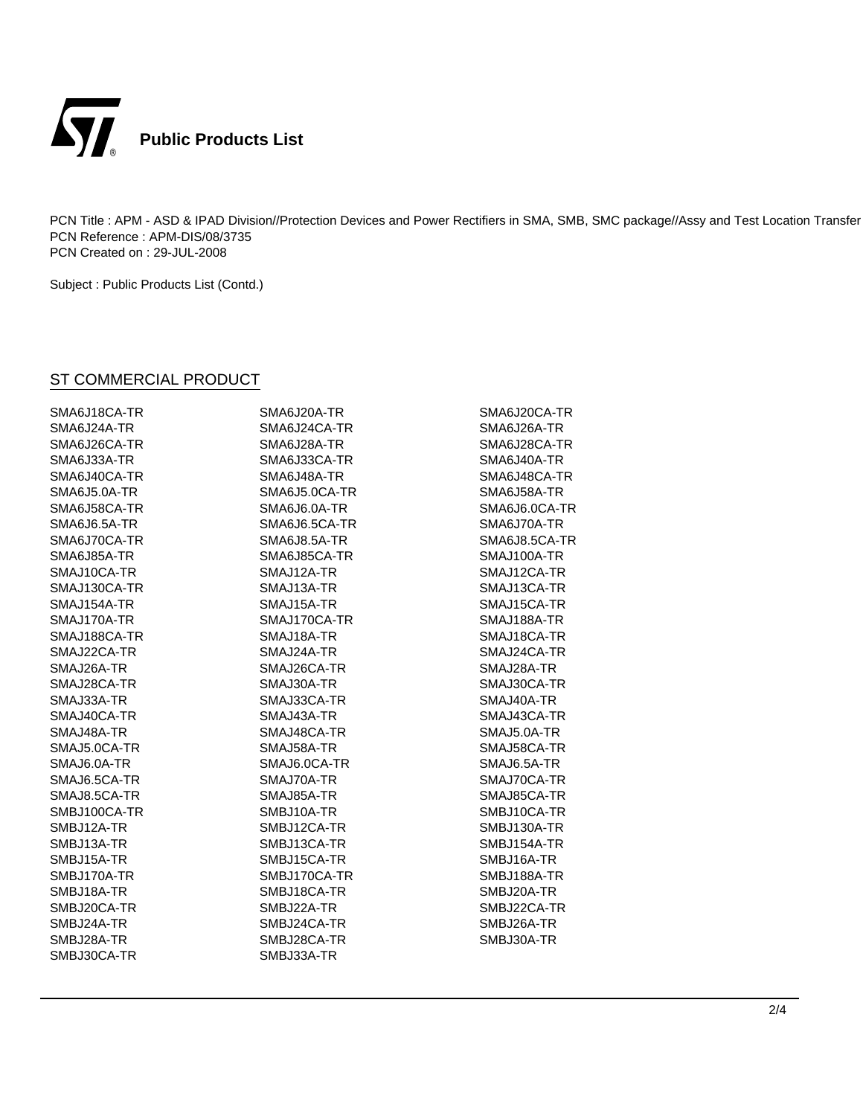

Subject : Public Products List (Contd.)

| SMA6J18CA-TR        | SMA6J20A-TR   | SMA6J20CA-TR  |
|---------------------|---------------|---------------|
| SMA6J24A-TR         | SMA6J24CA-TR  | SMA6J26A-TR   |
| SMA6J26CA-TR        | SMA6J28A-TR   | SMA6J28CA-TR  |
| SMA6J33A-TR         | SMA6J33CA-TR  | SMA6J40A-TR   |
| SMA6J40CA-TR        | SMA6J48A-TR   | SMA6J48CA-TR  |
| SMA6J5.0A-TR        | SMA6J5.0CA-TR | SMA6J58A-TR   |
| SMA6J58CA-TR        | SMA6J6.0A-TR  | SMA6J6.0CA-TR |
| <b>SMA6J6.5A-TR</b> | SMA6J6.5CA-TR | SMA6J70A-TR   |
| SMA6J70CA-TR        | SMA6J8.5A-TR  | SMA6J8.5CA-TR |
| SMA6J85A-TR         | SMA6J85CA-TR  | SMAJ100A-TR   |
| SMAJ10CA-TR         | SMAJ12A-TR    | SMAJ12CA-TR   |
| SMAJ130CA-TR        | SMAJ13A-TR    | SMAJ13CA-TR   |
| SMAJ154A-TR         | SMAJ15A-TR    | SMAJ15CA-TR   |
| SMAJ170A-TR         | SMAJ170CA-TR  | SMAJ188A-TR   |
| SMAJ188CA-TR        | SMAJ18A-TR    | SMAJ18CA-TR   |
| SMAJ22CA-TR         | SMAJ24A-TR    | SMAJ24CA-TR   |
| SMAJ26A-TR          | SMAJ26CA-TR   | SMAJ28A-TR    |
| SMAJ28CA-TR         | SMAJ30A-TR    | SMAJ30CA-TR   |
| SMAJ33A-TR          | SMAJ33CA-TR   | SMAJ40A-TR    |
| SMAJ40CA-TR         | SMAJ43A-TR    | SMAJ43CA-TR   |
| SMAJ48A-TR          | SMAJ48CA-TR   | SMAJ5.0A-TR   |
| SMAJ5.0CA-TR        | SMAJ58A-TR    | SMAJ58CA-TR   |
| SMAJ6.0A-TR         | SMAJ6.0CA-TR  | SMAJ6.5A-TR   |
| SMAJ6.5CA-TR        | SMAJ70A-TR    | SMAJ70CA-TR   |
| SMAJ8.5CA-TR        | SMAJ85A-TR    | SMAJ85CA-TR   |
| SMBJ100CA-TR        | SMBJ10A-TR    | SMBJ10CA-TR   |
| SMBJ12A-TR          | SMBJ12CA-TR   | SMBJ130A-TR   |
| SMBJ13A-TR          | SMBJ13CA-TR   | SMBJ154A-TR   |
| SMBJ15A-TR          | SMBJ15CA-TR   | SMBJ16A-TR    |
| SMBJ170A-TR         | SMBJ170CA-TR  | SMBJ188A-TR   |
| SMBJ18A-TR          | SMBJ18CA-TR   | SMBJ20A-TR    |
| SMBJ20CA-TR         | SMBJ22A-TR    | SMBJ22CA-TR   |
| SMBJ24A-TR          | SMBJ24CA-TR   | SMBJ26A-TR    |
| SMBJ28A-TR          | SMBJ28CA-TR   | SMBJ30A-TR    |
| SMBJ30CA-TR         | SMBJ33A-TR    |               |
|                     |               |               |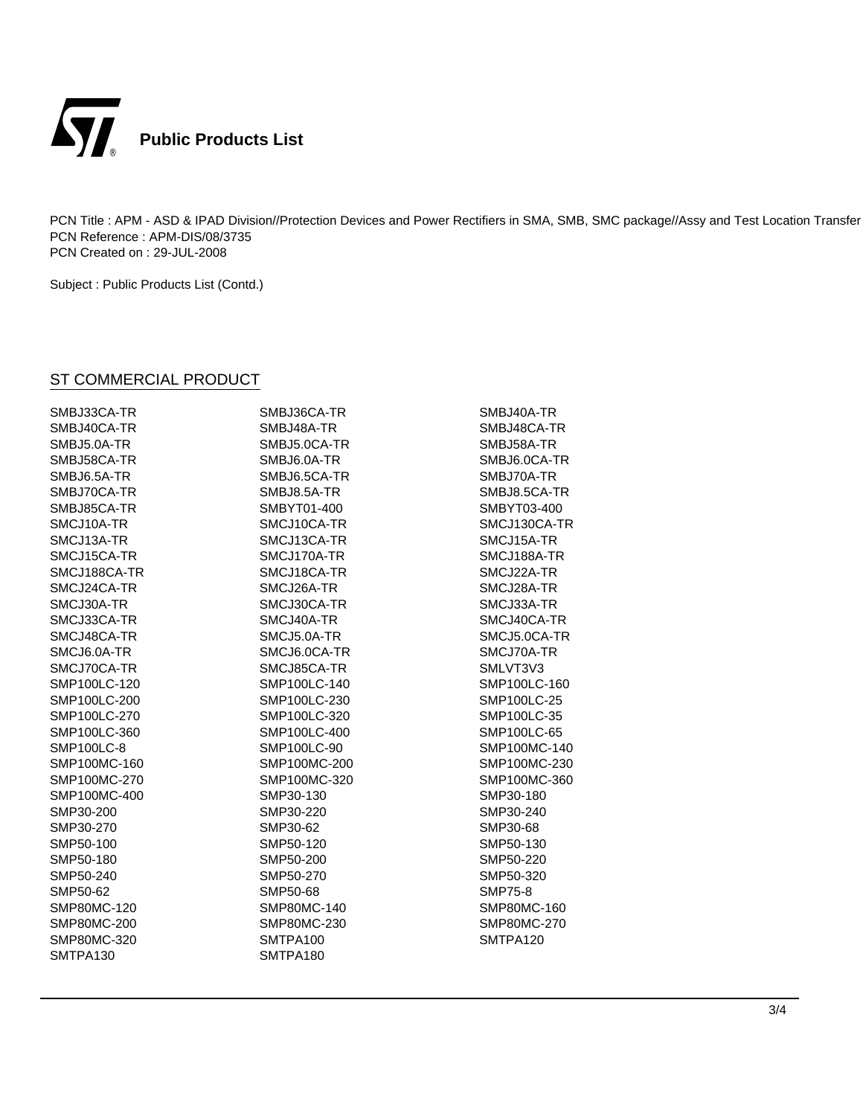

Subject : Public Products List (Contd.)

| SMBJ33CA-TR       | SMBJ36CA-TR  | SMBJ40A-TR     |
|-------------------|--------------|----------------|
| SMBJ40CA-TR       | SMBJ48A-TR   | SMBJ48CA-TR    |
| SMBJ5.0A-TR       | SMBJ5.0CA-TR | SMBJ58A-TR     |
| SMBJ58CA-TR       | SMBJ6.0A-TR  | SMBJ6.0CA-TR   |
| SMBJ6.5A-TR       | SMBJ6.5CA-TR | SMBJ70A-TR     |
| SMBJ70CA-TR       | SMBJ8.5A-TR  | SMBJ8.5CA-TR   |
| SMBJ85CA-TR       | SMBYT01-400  | SMBYT03-400    |
| SMCJ10A-TR        | SMCJ10CA-TR  | SMCJ130CA-TR   |
| SMCJ13A-TR        | SMCJ13CA-TR  | SMCJ15A-TR     |
| SMCJ15CA-TR       | SMCJ170A-TR  | SMCJ188A-TR    |
| SMCJ188CA-TR      | SMCJ18CA-TR  | SMCJ22A-TR     |
| SMCJ24CA-TR       | SMCJ26A-TR   | SMCJ28A-TR     |
| SMCJ30A-TR        | SMCJ30CA-TR  | SMCJ33A-TR     |
| SMCJ33CA-TR       | SMCJ40A-TR   | SMCJ40CA-TR    |
| SMCJ48CA-TR       | SMCJ5.0A-TR  | SMCJ5.0CA-TR   |
| SMCJ6.0A-TR       | SMCJ6.0CA-TR | SMCJ70A-TR     |
| SMCJ70CA-TR       | SMCJ85CA-TR  | SMLVT3V3       |
| SMP100LC-120      | SMP100LC-140 | SMP100LC-160   |
| SMP100LC-200      | SMP100LC-230 | SMP100LC-25    |
| SMP100LC-270      | SMP100LC-320 | SMP100LC-35    |
| SMP100LC-360      | SMP100LC-400 | SMP100LC-65    |
| <b>SMP100LC-8</b> | SMP100LC-90  | SMP100MC-140   |
| SMP100MC-160      | SMP100MC-200 | SMP100MC-230   |
| SMP100MC-270      | SMP100MC-320 | SMP100MC-360   |
| SMP100MC-400      | SMP30-130    | SMP30-180      |
| SMP30-200         | SMP30-220    | SMP30-240      |
| SMP30-270         | SMP30-62     | SMP30-68       |
| SMP50-100         | SMP50-120    | SMP50-130      |
| SMP50-180         | SMP50-200    | SMP50-220      |
| SMP50-240         | SMP50-270    | SMP50-320      |
| SMP50-62          | SMP50-68     | <b>SMP75-8</b> |
| SMP80MC-120       | SMP80MC-140  | SMP80MC-160    |
| SMP80MC-200       | SMP80MC-230  | SMP80MC-270    |
| SMP80MC-320       | SMTPA100     | SMTPA120       |
| SMTPA130          | SMTPA180     |                |
|                   |              |                |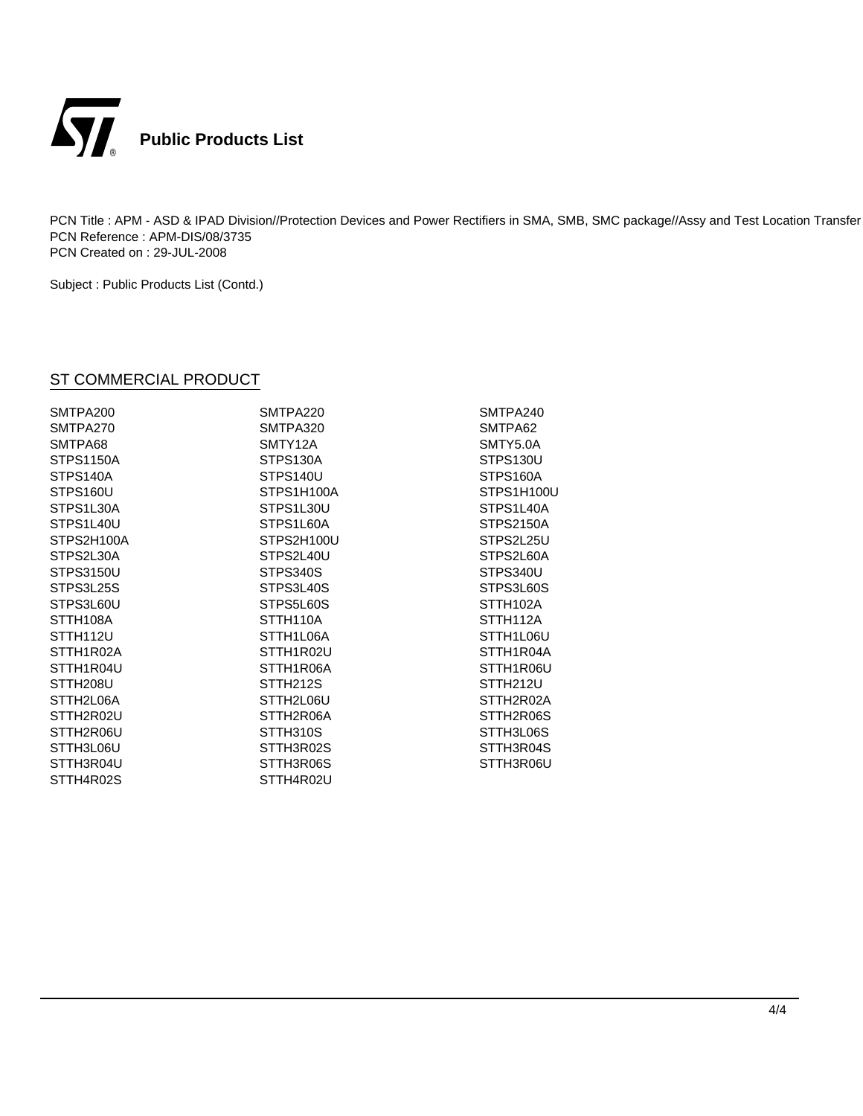

Subject : Public Products List (Contd.)

| SMTPA200              | SMTPA220              | SMTPA240              |
|-----------------------|-----------------------|-----------------------|
| SMTPA270              | SMTPA320              | SMTPA62               |
| SMTPA68               | SMTY12A               | SMTY5.0A              |
| <b>STPS1150A</b>      | STPS130A              | STPS130U              |
| STPS140A              | STPS140U              | STPS160A              |
| STPS160U              | STPS1H100A            | STPS1H100U            |
| STPS1L30A             | STPS1L30U             | STPS1L40A             |
| STPS1L40U             | STPS1L60A             | <b>STPS2150A</b>      |
| STPS2H100A            | STPS2H100U            | STPS2L25U             |
| STPS2L30A             | STPS2L40U             | STPS2L60A             |
| STPS3150U             | STPS340S              | STPS340U              |
| STPS3L25S             | STPS3L40S             | STPS3L60S             |
| STPS3L60U             | STPS5L60S             | STTH <sub>102A</sub>  |
| STTH <sub>108</sub> A | STTH <sub>110</sub> A | STTH <sub>112</sub> A |
| STTH <sub>112U</sub>  | STTH1L06A             | STTH1L06U             |
| STTH1R02A             | STTH1R02U             | STTH1R04A             |
| STTH1R04U             | STTH1R06A             | STTH1R06U             |
| STTH208U              | STTH <sub>212S</sub>  | STTH212U              |
| STTH2L06A             | STTH2L06U             | STTH2R02A             |
| STTH2R02U             | STTH2R06A             | STTH2R06S             |
| STTH2R06U             | STTH310S              | STTH3L06S             |
| STTH3L06U             | STTH3R02S             | STTH3R04S             |
| STTH3R04U             | STTH3R06S             | STTH3R06U             |
| STTH4R02S             | STTH4R02U             |                       |